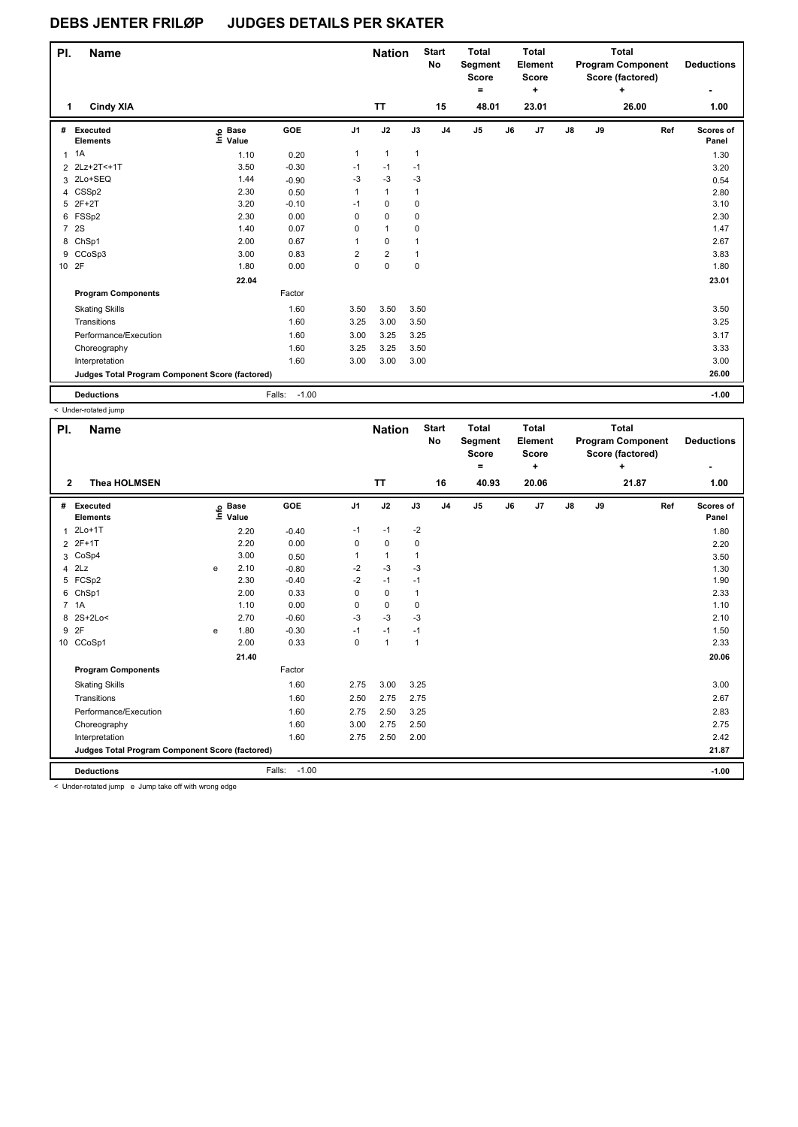| PI.            | <b>Name</b>                                     |                   |                   |                | <b>Nation</b>           |              | <b>Start</b><br>No | <b>Total</b><br>Segment<br><b>Score</b><br>$\equiv$ |    | <b>Total</b><br>Element<br>Score<br>٠ |    |    | <b>Total</b><br><b>Program Component</b><br>Score (factored)<br>÷ | <b>Deductions</b><br>۰ |
|----------------|-------------------------------------------------|-------------------|-------------------|----------------|-------------------------|--------------|--------------------|-----------------------------------------------------|----|---------------------------------------|----|----|-------------------------------------------------------------------|------------------------|
| 1              | <b>Cindy XIA</b>                                |                   |                   |                | <b>TT</b>               |              | 15                 | 48.01                                               |    | 23.01                                 |    |    | 26.00                                                             | 1.00                   |
| #              | Executed<br><b>Elements</b>                     | e Base<br>≡ Value | GOE               | J <sub>1</sub> | J2                      | J3           | J <sub>4</sub>     | J <sub>5</sub>                                      | J6 | J <sub>7</sub>                        | J8 | J9 | Ref                                                               | Scores of<br>Panel     |
|                | $1 \t1A$                                        | 1.10              | 0.20              | 1              | $\mathbf{1}$            | $\mathbf{1}$ |                    |                                                     |    |                                       |    |    |                                                                   | 1.30                   |
|                | 2 2Lz+2T<+1T                                    | 3.50              | $-0.30$           | $-1$           | $-1$                    | $-1$         |                    |                                                     |    |                                       |    |    |                                                                   | 3.20                   |
| 3              | 2Lo+SEQ                                         | 1.44              | $-0.90$           | $-3$           | $-3$                    | $-3$         |                    |                                                     |    |                                       |    |    |                                                                   | 0.54                   |
|                | 4 CSSp2                                         | 2.30              | 0.50              | 1              | $\mathbf{1}$            | 1            |                    |                                                     |    |                                       |    |    |                                                                   | 2.80                   |
| 5              | $2F+2T$                                         | 3.20              | $-0.10$           | $-1$           | $\pmb{0}$               | 0            |                    |                                                     |    |                                       |    |    |                                                                   | 3.10                   |
|                | 6 FSSp2                                         | 2.30              | 0.00              | 0              | $\mathbf 0$             | 0            |                    |                                                     |    |                                       |    |    |                                                                   | 2.30                   |
| $\overline{7}$ | 2S                                              | 1.40              | 0.07              | 0              | 1                       | 0            |                    |                                                     |    |                                       |    |    |                                                                   | 1.47                   |
|                | 8 ChSp1                                         | 2.00              | 0.67              | $\mathbf{1}$   | 0                       | 1            |                    |                                                     |    |                                       |    |    |                                                                   | 2.67                   |
|                | 9 CCoSp3                                        | 3.00              | 0.83              | 2              | $\overline{\mathbf{c}}$ | 1            |                    |                                                     |    |                                       |    |    |                                                                   | 3.83                   |
|                | 10 2F                                           | 1.80              | 0.00              | 0              | $\pmb{0}$               | 0            |                    |                                                     |    |                                       |    |    |                                                                   | 1.80                   |
|                |                                                 | 22.04             |                   |                |                         |              |                    |                                                     |    |                                       |    |    |                                                                   | 23.01                  |
|                | <b>Program Components</b>                       |                   | Factor            |                |                         |              |                    |                                                     |    |                                       |    |    |                                                                   |                        |
|                | <b>Skating Skills</b>                           |                   | 1.60              | 3.50           | 3.50                    | 3.50         |                    |                                                     |    |                                       |    |    |                                                                   | 3.50                   |
|                | Transitions                                     |                   | 1.60              | 3.25           | 3.00                    | 3.50         |                    |                                                     |    |                                       |    |    |                                                                   | 3.25                   |
|                | Performance/Execution                           |                   | 1.60              | 3.00           | 3.25                    | 3.25         |                    |                                                     |    |                                       |    |    |                                                                   | 3.17                   |
|                | Choreography                                    |                   | 1.60              | 3.25           | 3.25                    | 3.50         |                    |                                                     |    |                                       |    |    |                                                                   | 3.33                   |
|                | Interpretation                                  |                   | 1.60              | 3.00           | 3.00                    | 3.00         |                    |                                                     |    |                                       |    |    |                                                                   | 3.00                   |
|                | Judges Total Program Component Score (factored) |                   |                   |                |                         |              |                    |                                                     |    |                                       |    |    |                                                                   | 26.00                  |
|                | <b>Deductions</b>                               |                   | $-1.00$<br>Falls: |                |                         |              |                    |                                                     |    |                                       |    |    |                                                                   | $-1.00$                |

< Under-rotated jump

| PI.<br><b>Name</b>               |                                                 |                            |                   |                | <b>Nation</b> |                | <b>Start</b><br>No | <b>Total</b><br>Segment<br><b>Score</b><br>۰ |    | <b>Total</b><br>Element<br><b>Score</b><br>٠ |               |    | <b>Total</b><br><b>Program Component</b><br>Score (factored)<br>٠ |     | <b>Deductions</b>  |
|----------------------------------|-------------------------------------------------|----------------------------|-------------------|----------------|---------------|----------------|--------------------|----------------------------------------------|----|----------------------------------------------|---------------|----|-------------------------------------------------------------------|-----|--------------------|
| $\mathbf{2}$                     | <b>Thea HOLMSEN</b>                             |                            |                   |                | TT            |                | 16                 | 40.93                                        |    | 20.06                                        |               |    | 21.87                                                             |     | 1.00               |
| #<br>Executed<br><b>Elements</b> |                                                 | e Base<br>≡ Value<br>Value | GOE               | J <sub>1</sub> | J2            | J3             | J <sub>4</sub>     | J5                                           | J6 | J7                                           | $\mathsf{J}8$ | J9 |                                                                   | Ref | Scores of<br>Panel |
| $2Lo+1T$<br>1                    |                                                 | 2.20                       | $-0.40$           | $-1$           | $-1$          | $-2$           |                    |                                              |    |                                              |               |    |                                                                   |     | 1.80               |
| 2 2F+1T                          |                                                 | 2.20                       | 0.00              | 0              | 0             | 0              |                    |                                              |    |                                              |               |    |                                                                   |     | 2.20               |
| 3 CoSp4                          |                                                 | 3.00                       | 0.50              | 1              | $\mathbf{1}$  | $\overline{1}$ |                    |                                              |    |                                              |               |    |                                                                   |     | 3.50               |
| $4$ $2Lz$                        | e                                               | 2.10                       | $-0.80$           | $-2$           | $-3$          | -3             |                    |                                              |    |                                              |               |    |                                                                   |     | 1.30               |
| 5 FCSp2                          |                                                 | 2.30                       | $-0.40$           | $-2$           | $-1$          | $-1$           |                    |                                              |    |                                              |               |    |                                                                   |     | 1.90               |
| 6 ChSp1                          |                                                 | 2.00                       | 0.33              | 0              | $\mathbf 0$   | $\mathbf{1}$   |                    |                                              |    |                                              |               |    |                                                                   |     | 2.33               |
| 7 1A                             |                                                 | 1.10                       | 0.00              | 0              | 0             | 0              |                    |                                              |    |                                              |               |    |                                                                   |     | 1.10               |
| 8 2S+2Lo<                        |                                                 | 2.70                       | $-0.60$           | $-3$           | $-3$          | -3             |                    |                                              |    |                                              |               |    |                                                                   |     | 2.10               |
| 2F<br>9                          | e                                               | 1.80                       | $-0.30$           | $-1$           | $-1$          | $-1$           |                    |                                              |    |                                              |               |    |                                                                   |     | 1.50               |
| 10 CCoSp1                        |                                                 | 2.00                       | 0.33              | 0              | $\mathbf{1}$  | $\overline{1}$ |                    |                                              |    |                                              |               |    |                                                                   |     | 2.33               |
|                                  |                                                 | 21.40                      |                   |                |               |                |                    |                                              |    |                                              |               |    |                                                                   |     | 20.06              |
| <b>Program Components</b>        |                                                 |                            | Factor            |                |               |                |                    |                                              |    |                                              |               |    |                                                                   |     |                    |
| <b>Skating Skills</b>            |                                                 |                            | 1.60              | 2.75           | 3.00          | 3.25           |                    |                                              |    |                                              |               |    |                                                                   |     | 3.00               |
| Transitions                      |                                                 |                            | 1.60              | 2.50           | 2.75          | 2.75           |                    |                                              |    |                                              |               |    |                                                                   |     | 2.67               |
| Performance/Execution            |                                                 |                            | 1.60              | 2.75           | 2.50          | 3.25           |                    |                                              |    |                                              |               |    |                                                                   |     | 2.83               |
| Choreography                     |                                                 |                            | 1.60              | 3.00           | 2.75          | 2.50           |                    |                                              |    |                                              |               |    |                                                                   |     | 2.75               |
| Interpretation                   |                                                 |                            | 1.60              | 2.75           | 2.50          | 2.00           |                    |                                              |    |                                              |               |    |                                                                   |     | 2.42               |
|                                  | Judges Total Program Component Score (factored) |                            |                   |                |               |                |                    |                                              |    |                                              |               |    |                                                                   |     | 21.87              |
| <b>Deductions</b>                |                                                 |                            | $-1.00$<br>Falls: |                |               |                |                    |                                              |    |                                              |               |    |                                                                   |     | $-1.00$            |

< Under-rotated jump e Jump take off with wrong edge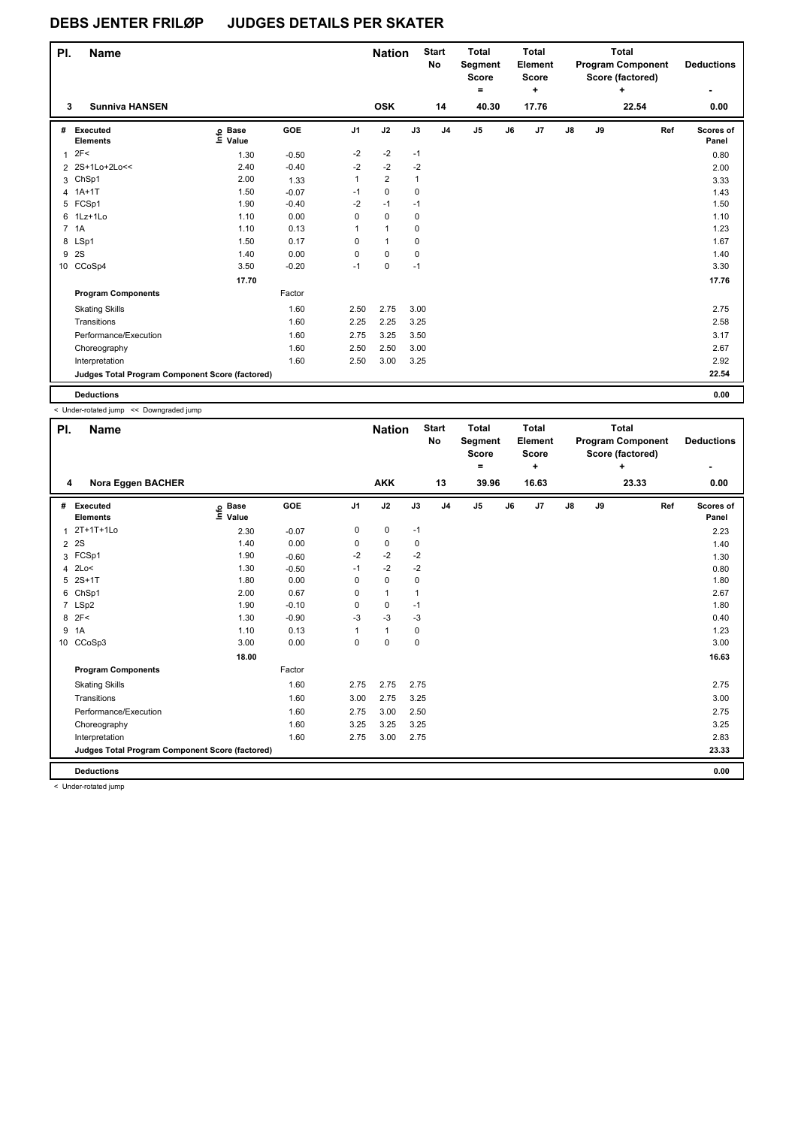| PI.          | <b>Name</b>                                     |                   |         |      | <b>Nation</b>  |              | <b>Start</b><br>No | <b>Total</b><br>Segment<br><b>Score</b><br>$\equiv$ |    | <b>Total</b><br>Element<br><b>Score</b><br>٠ | <b>Total</b><br><b>Program Component</b><br>Score (factored)<br>٠ |    |       | <b>Deductions</b><br>۰ |
|--------------|-------------------------------------------------|-------------------|---------|------|----------------|--------------|--------------------|-----------------------------------------------------|----|----------------------------------------------|-------------------------------------------------------------------|----|-------|------------------------|
| 3            | <b>Sunniva HANSEN</b>                           |                   |         |      | <b>OSK</b>     |              | 14                 | 40.30                                               |    | 17.76                                        |                                                                   |    | 22.54 | 0.00                   |
| #            | Executed<br><b>Elements</b>                     | e Base<br>⊆ Value | GOE     | J1   | J2             | J3           | J <sub>4</sub>     | J <sub>5</sub>                                      | J6 | J7                                           | J8                                                                | J9 | Ref   | Scores of<br>Panel     |
| $\mathbf{1}$ | 2F<                                             | 1.30              | $-0.50$ | $-2$ | $-2$           | $-1$         |                    |                                                     |    |                                              |                                                                   |    |       | 0.80                   |
|              | 2 2S+1Lo+2Lo<<                                  | 2.40              | $-0.40$ | $-2$ | $-2$           | $-2$         |                    |                                                     |    |                                              |                                                                   |    |       | 2.00                   |
| 3            | ChSp1                                           | 2.00              | 1.33    | 1    | $\overline{2}$ | $\mathbf{1}$ |                    |                                                     |    |                                              |                                                                   |    |       | 3.33                   |
|              | 4 1A+1T                                         | 1.50              | $-0.07$ | $-1$ | $\pmb{0}$      | 0            |                    |                                                     |    |                                              |                                                                   |    |       | 1.43                   |
|              | 5 FCSp1                                         | 1.90              | $-0.40$ | $-2$ | $-1$           | $-1$         |                    |                                                     |    |                                              |                                                                   |    |       | 1.50                   |
|              | 6 1Lz+1Lo                                       | 1.10              | 0.00    | 0    | $\pmb{0}$      | 0            |                    |                                                     |    |                                              |                                                                   |    |       | 1.10                   |
|              | 7 1A                                            | 1.10              | 0.13    | 1    | 1              | 0            |                    |                                                     |    |                                              |                                                                   |    |       | 1.23                   |
| 8            | LSp1                                            | 1.50              | 0.17    | 0    | $\mathbf{1}$   | 0            |                    |                                                     |    |                                              |                                                                   |    |       | 1.67                   |
|              | 9 2S                                            | 1.40              | 0.00    | 0    | $\mathbf 0$    | 0            |                    |                                                     |    |                                              |                                                                   |    |       | 1.40                   |
|              | 10 CCoSp4                                       | 3.50              | $-0.20$ | $-1$ | $\mathbf 0$    | $-1$         |                    |                                                     |    |                                              |                                                                   |    |       | 3.30                   |
|              |                                                 | 17.70             |         |      |                |              |                    |                                                     |    |                                              |                                                                   |    |       | 17.76                  |
|              | <b>Program Components</b>                       |                   | Factor  |      |                |              |                    |                                                     |    |                                              |                                                                   |    |       |                        |
|              | <b>Skating Skills</b>                           |                   | 1.60    | 2.50 | 2.75           | 3.00         |                    |                                                     |    |                                              |                                                                   |    |       | 2.75                   |
|              | Transitions                                     |                   | 1.60    | 2.25 | 2.25           | 3.25         |                    |                                                     |    |                                              |                                                                   |    |       | 2.58                   |
|              | Performance/Execution                           |                   | 1.60    | 2.75 | 3.25           | 3.50         |                    |                                                     |    |                                              |                                                                   |    |       | 3.17                   |
|              | Choreography                                    |                   | 1.60    | 2.50 | 2.50           | 3.00         |                    |                                                     |    |                                              |                                                                   |    |       | 2.67                   |
|              | Interpretation                                  |                   | 1.60    | 2.50 | 3.00           | 3.25         |                    |                                                     |    |                                              |                                                                   |    |       | 2.92                   |
|              | Judges Total Program Component Score (factored) |                   |         |      |                |              |                    |                                                     |    |                                              |                                                                   |    |       | 22.54                  |
|              | <b>Deductions</b>                               |                   |         |      |                |              |                    |                                                     |    |                                              |                                                                   |    |       | 0.00                   |

< Under-rotated jump << Downgraded jump

| PI. | <b>Name</b>                                     |                   |            |                | <b>Nation</b> |      | <b>Start</b><br><b>No</b> | <b>Total</b><br>Segment<br><b>Score</b> |    | <b>Total</b><br><b>Element</b><br><b>Score</b> |               |    | <b>Total</b><br><b>Program Component</b><br>Score (factored) |     | <b>Deductions</b>  |
|-----|-------------------------------------------------|-------------------|------------|----------------|---------------|------|---------------------------|-----------------------------------------|----|------------------------------------------------|---------------|----|--------------------------------------------------------------|-----|--------------------|
|     |                                                 |                   |            |                |               |      |                           | ۰                                       |    | ٠                                              |               |    | ÷                                                            |     | ۰                  |
| 4   | Nora Eggen BACHER                               |                   |            |                | <b>AKK</b>    |      | 13                        | 39.96                                   |    | 16.63                                          |               |    | 23.33                                                        |     | 0.00               |
| #   | <b>Executed</b><br><b>Elements</b>              | e Base<br>≡ Value | <b>GOE</b> | J <sub>1</sub> | J2            | J3   | J <sub>4</sub>            | J <sub>5</sub>                          | J6 | J7                                             | $\mathsf{J}8$ | J9 |                                                              | Ref | Scores of<br>Panel |
| 1   | 2T+1T+1Lo                                       | 2.30              | $-0.07$    | 0              | 0             | $-1$ |                           |                                         |    |                                                |               |    |                                                              |     | 2.23               |
| 2   | 2S                                              | 1.40              | 0.00       | 0              | 0             | 0    |                           |                                         |    |                                                |               |    |                                                              |     | 1.40               |
|     | 3 FCSp1                                         | 1.90              | $-0.60$    | -2             | $-2$          | $-2$ |                           |                                         |    |                                                |               |    |                                                              |     | 1.30               |
| 4   | 2Lo<                                            | 1.30              | $-0.50$    | $-1$           | $-2$          | $-2$ |                           |                                         |    |                                                |               |    |                                                              |     | 0.80               |
| 5   | $2S+1T$                                         | 1.80              | 0.00       | 0              | 0             | 0    |                           |                                         |    |                                                |               |    |                                                              |     | 1.80               |
| 6   | ChSp1                                           | 2.00              | 0.67       | 0              | $\mathbf{1}$  | 1    |                           |                                         |    |                                                |               |    |                                                              |     | 2.67               |
|     | 7 LSp2                                          | 1.90              | $-0.10$    | 0              | 0             | $-1$ |                           |                                         |    |                                                |               |    |                                                              |     | 1.80               |
| 8   | 2F<                                             | 1.30              | $-0.90$    | -3             | -3            | -3   |                           |                                         |    |                                                |               |    |                                                              |     | 0.40               |
| 9   | 1A                                              | 1.10              | 0.13       | 1              | $\mathbf{1}$  | 0    |                           |                                         |    |                                                |               |    |                                                              |     | 1.23               |
|     | 10 CCoSp3                                       | 3.00              | 0.00       | 0              | $\mathbf 0$   | 0    |                           |                                         |    |                                                |               |    |                                                              |     | 3.00               |
|     |                                                 | 18.00             |            |                |               |      |                           |                                         |    |                                                |               |    |                                                              |     | 16.63              |
|     | <b>Program Components</b>                       |                   | Factor     |                |               |      |                           |                                         |    |                                                |               |    |                                                              |     |                    |
|     | <b>Skating Skills</b>                           |                   | 1.60       | 2.75           | 2.75          | 2.75 |                           |                                         |    |                                                |               |    |                                                              |     | 2.75               |
|     | Transitions                                     |                   | 1.60       | 3.00           | 2.75          | 3.25 |                           |                                         |    |                                                |               |    |                                                              |     | 3.00               |
|     | Performance/Execution                           |                   | 1.60       | 2.75           | 3.00          | 2.50 |                           |                                         |    |                                                |               |    |                                                              |     | 2.75               |
|     | Choreography                                    |                   | 1.60       | 3.25           | 3.25          | 3.25 |                           |                                         |    |                                                |               |    |                                                              |     | 3.25               |
|     | Interpretation                                  |                   | 1.60       | 2.75           | 3.00          | 2.75 |                           |                                         |    |                                                |               |    |                                                              |     | 2.83               |
|     | Judges Total Program Component Score (factored) |                   |            |                |               |      |                           |                                         |    |                                                |               |    |                                                              |     | 23.33              |
|     | <b>Deductions</b>                               |                   |            |                |               |      |                           |                                         |    |                                                |               |    |                                                              |     | 0.00               |

< Under-rotated jump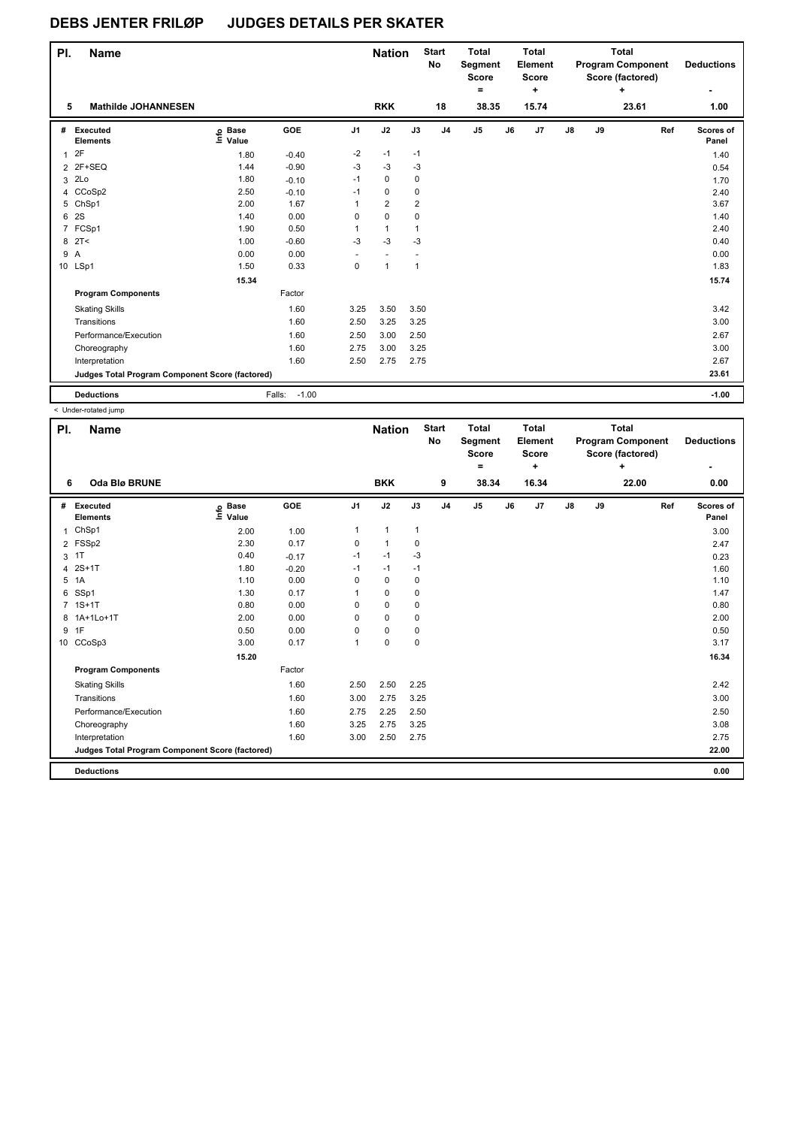| PI. | <b>Name</b>                                     |                   |                   |                | <b>Nation</b>  |                | <b>Start</b><br><b>No</b> | <b>Total</b><br>Segment<br><b>Score</b><br>۰ |    | Total<br>Element<br>Score<br>٠. |               |    | Total<br><b>Program Component</b><br>Score (factored)<br>٠ |     | <b>Deductions</b><br>۰ |
|-----|-------------------------------------------------|-------------------|-------------------|----------------|----------------|----------------|---------------------------|----------------------------------------------|----|---------------------------------|---------------|----|------------------------------------------------------------|-----|------------------------|
| 5   | <b>Mathilde JOHANNESEN</b>                      |                   |                   |                | <b>RKK</b>     |                | 18                        | 38.35                                        |    | 15.74                           |               |    | 23.61                                                      |     | 1.00                   |
| #   | Executed<br><b>Elements</b>                     | e Base<br>⊑ Value | GOE               | J <sub>1</sub> | J2             | J3             | J <sub>4</sub>            | J5                                           | J6 | J7                              | $\mathsf{J}8$ | J9 |                                                            | Ref | Scores of<br>Panel     |
| 1   | 2F                                              | 1.80              | $-0.40$           | $-2$           | $-1$           | $-1$           |                           |                                              |    |                                 |               |    |                                                            |     | 1.40                   |
|     | 2 2F+SEQ                                        | 1.44              | $-0.90$           | $-3$           | $-3$           | -3             |                           |                                              |    |                                 |               |    |                                                            |     | 0.54                   |
| 3   | 2Lo                                             | 1.80              | $-0.10$           | $-1$           | $\mathbf 0$    | $\mathbf 0$    |                           |                                              |    |                                 |               |    |                                                            |     | 1.70                   |
| 4   | CCoSp2                                          | 2.50              | $-0.10$           | $-1$           | $\mathbf 0$    | 0              |                           |                                              |    |                                 |               |    |                                                            |     | 2.40                   |
| 5   | ChSp1                                           | 2.00              | 1.67              | 1              | $\overline{2}$ | $\overline{2}$ |                           |                                              |    |                                 |               |    |                                                            |     | 3.67                   |
| 6   | 2S                                              | 1.40              | 0.00              | 0              | $\mathbf 0$    | $\mathbf 0$    |                           |                                              |    |                                 |               |    |                                                            |     | 1.40                   |
|     | 7 FCSp1                                         | 1.90              | 0.50              | 1              | $\mathbf{1}$   | $\mathbf{1}$   |                           |                                              |    |                                 |               |    |                                                            |     | 2.40                   |
| 8   | 2T<                                             | 1.00              | $-0.60$           | $-3$           | $-3$           | -3             |                           |                                              |    |                                 |               |    |                                                            |     | 0.40                   |
| 9 A |                                                 | 0.00              | 0.00              |                |                |                |                           |                                              |    |                                 |               |    |                                                            |     | 0.00                   |
|     | 10 LSp1                                         | 1.50              | 0.33              | 0              | $\mathbf{1}$   | $\mathbf{1}$   |                           |                                              |    |                                 |               |    |                                                            |     | 1.83                   |
|     |                                                 | 15.34             |                   |                |                |                |                           |                                              |    |                                 |               |    |                                                            |     | 15.74                  |
|     | <b>Program Components</b>                       |                   | Factor            |                |                |                |                           |                                              |    |                                 |               |    |                                                            |     |                        |
|     | <b>Skating Skills</b>                           |                   | 1.60              | 3.25           | 3.50           | 3.50           |                           |                                              |    |                                 |               |    |                                                            |     | 3.42                   |
|     | Transitions                                     |                   | 1.60              | 2.50           | 3.25           | 3.25           |                           |                                              |    |                                 |               |    |                                                            |     | 3.00                   |
|     | Performance/Execution                           |                   | 1.60              | 2.50           | 3.00           | 2.50           |                           |                                              |    |                                 |               |    |                                                            |     | 2.67                   |
|     | Choreography                                    |                   | 1.60              | 2.75           | 3.00           | 3.25           |                           |                                              |    |                                 |               |    |                                                            |     | 3.00                   |
|     | Interpretation                                  |                   | 1.60              | 2.50           | 2.75           | 2.75           |                           |                                              |    |                                 |               |    |                                                            |     | 2.67                   |
|     | Judges Total Program Component Score (factored) |                   |                   |                |                |                |                           |                                              |    |                                 |               |    |                                                            |     | 23.61                  |
|     | <b>Deductions</b>                               |                   | $-1.00$<br>Falls: |                |                |                |                           |                                              |    |                                 |               |    |                                                            |     | $-1.00$                |

< Under-rotated jump

| PI. | <b>Name</b>                                     |                            |         |                | <b>Nation</b> |              | <b>Start</b><br>No | <b>Total</b><br>Segment<br><b>Score</b><br>٠ |    | <b>Total</b><br>Element<br>Score<br>٠ |               |    | <b>Total</b><br><b>Program Component</b><br>Score (factored)<br>٠ |     | <b>Deductions</b>  |
|-----|-------------------------------------------------|----------------------------|---------|----------------|---------------|--------------|--------------------|----------------------------------------------|----|---------------------------------------|---------------|----|-------------------------------------------------------------------|-----|--------------------|
| 6   | <b>Oda Blø BRUNE</b>                            |                            |         |                | <b>BKK</b>    |              | 9                  | 38.34                                        |    | 16.34                                 |               |    | 22.00                                                             |     | 0.00               |
| #   | Executed<br><b>Elements</b>                     | e Base<br>≡ Value<br>Value | GOE     | J <sub>1</sub> | J2            | J3           | J <sub>4</sub>     | J <sub>5</sub>                               | J6 | J7                                    | $\mathsf{J}8$ | J9 |                                                                   | Ref | Scores of<br>Panel |
| 1   | ChSp1                                           | 2.00                       | 1.00    | $\mathbf{1}$   | $\mathbf{1}$  | $\mathbf{1}$ |                    |                                              |    |                                       |               |    |                                                                   |     | 3.00               |
|     | 2 FSSp2                                         | 2.30                       | 0.17    | 0              | $\mathbf{1}$  | 0            |                    |                                              |    |                                       |               |    |                                                                   |     | 2.47               |
| 3   | 1T                                              | 0.40                       | $-0.17$ | $-1$           | $-1$          | $-3$         |                    |                                              |    |                                       |               |    |                                                                   |     | 0.23               |
|     | 4 2S+1T                                         | 1.80                       | $-0.20$ | $-1$           | $-1$          | $-1$         |                    |                                              |    |                                       |               |    |                                                                   |     | 1.60               |
| 5   | 1A                                              | 1.10                       | 0.00    | 0              | $\mathbf 0$   | $\mathbf 0$  |                    |                                              |    |                                       |               |    |                                                                   |     | 1.10               |
|     | 6 SSp1                                          | 1.30                       | 0.17    | 1              | $\mathbf 0$   | 0            |                    |                                              |    |                                       |               |    |                                                                   |     | 1.47               |
|     | 7 1S+1T                                         | 0.80                       | 0.00    | 0              | $\mathbf 0$   | 0            |                    |                                              |    |                                       |               |    |                                                                   |     | 0.80               |
|     | 8 1A+1Lo+1T                                     | 2.00                       | 0.00    | 0              | $\mathbf 0$   | 0            |                    |                                              |    |                                       |               |    |                                                                   |     | 2.00               |
| 9   | 1F                                              | 0.50                       | 0.00    | 0              | $\mathbf 0$   | 0            |                    |                                              |    |                                       |               |    |                                                                   |     | 0.50               |
|     | 10 CCoSp3                                       | 3.00                       | 0.17    | 1              | $\mathbf 0$   | $\mathbf 0$  |                    |                                              |    |                                       |               |    |                                                                   |     | 3.17               |
|     |                                                 | 15.20                      |         |                |               |              |                    |                                              |    |                                       |               |    |                                                                   |     | 16.34              |
|     | <b>Program Components</b>                       |                            | Factor  |                |               |              |                    |                                              |    |                                       |               |    |                                                                   |     |                    |
|     | <b>Skating Skills</b>                           |                            | 1.60    | 2.50           | 2.50          | 2.25         |                    |                                              |    |                                       |               |    |                                                                   |     | 2.42               |
|     | Transitions                                     |                            | 1.60    | 3.00           | 2.75          | 3.25         |                    |                                              |    |                                       |               |    |                                                                   |     | 3.00               |
|     | Performance/Execution                           |                            | 1.60    | 2.75           | 2.25          | 2.50         |                    |                                              |    |                                       |               |    |                                                                   |     | 2.50               |
|     | Choreography                                    |                            | 1.60    | 3.25           | 2.75          | 3.25         |                    |                                              |    |                                       |               |    |                                                                   |     | 3.08               |
|     | Interpretation                                  |                            | 1.60    | 3.00           | 2.50          | 2.75         |                    |                                              |    |                                       |               |    |                                                                   |     | 2.75               |
|     | Judges Total Program Component Score (factored) |                            |         |                |               |              |                    |                                              |    |                                       |               |    |                                                                   |     | 22.00              |
|     | <b>Deductions</b>                               |                            |         |                |               |              |                    |                                              |    |                                       |               |    |                                                                   |     | 0.00               |
|     |                                                 |                            |         |                |               |              |                    |                                              |    |                                       |               |    |                                                                   |     |                    |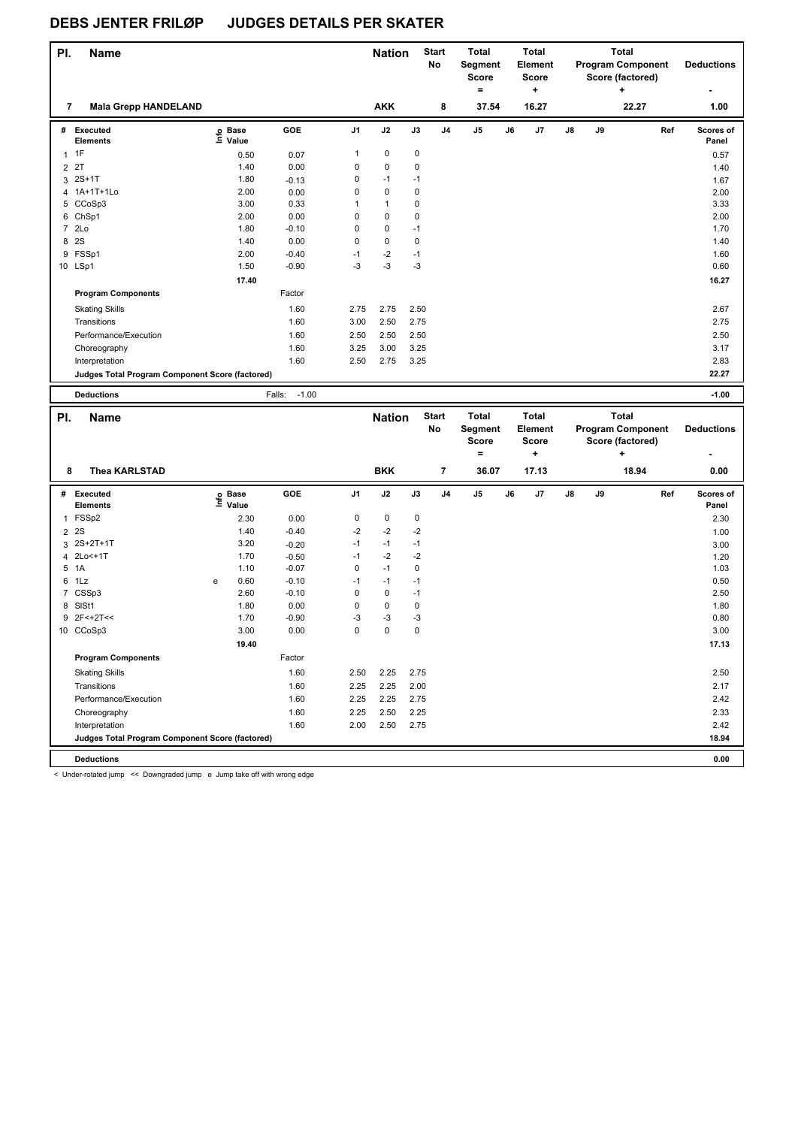| PI. | <b>Name</b>                                     |                   |                   |                | <b>Nation</b> |             | <b>Start</b><br>No | <b>Total</b><br>Segment<br>Score<br>$\equiv$ |    | <b>Total</b><br>Element<br><b>Score</b><br>$\ddot{}$ |               |    | <b>Total</b><br><b>Program Component</b><br>Score (factored)<br>÷ | <b>Deductions</b>  |
|-----|-------------------------------------------------|-------------------|-------------------|----------------|---------------|-------------|--------------------|----------------------------------------------|----|------------------------------------------------------|---------------|----|-------------------------------------------------------------------|--------------------|
| 7   | <b>Mala Grepp HANDELAND</b>                     |                   |                   |                | <b>AKK</b>    |             | 8                  | 37.54                                        |    | 16.27                                                |               |    | 22.27                                                             | 1.00               |
| #   | Executed<br><b>Elements</b>                     | e Base<br>⊑ Value | GOE               | J <sub>1</sub> | J2            | J3          | J <sub>4</sub>     | J <sub>5</sub>                               | J6 | J <sub>7</sub>                                       | $\mathsf{J}8$ | J9 | Ref                                                               | Scores of<br>Panel |
|     | $1 \t1F$                                        | 0.50              | 0.07              | $\mathbf{1}$   | 0             | 0           |                    |                                              |    |                                                      |               |    |                                                                   | 0.57               |
|     | 2 2T                                            | 1.40              | 0.00              | 0              | $\pmb{0}$     | 0           |                    |                                              |    |                                                      |               |    |                                                                   | 1.40               |
|     | $3.2S+1T$                                       | 1.80              | $-0.13$           | 0              | $-1$          | $-1$        |                    |                                              |    |                                                      |               |    |                                                                   | 1.67               |
|     | 4 1A+1T+1Lo                                     | 2.00              | 0.00              | $\Omega$       | $\mathbf 0$   | 0           |                    |                                              |    |                                                      |               |    |                                                                   | 2.00               |
|     | 5 CCoSp3                                        | 3.00              | 0.33              | 1              | $\mathbf{1}$  | 0           |                    |                                              |    |                                                      |               |    |                                                                   | 3.33               |
|     | 6 ChSp1                                         | 2.00              | 0.00              | 0              | 0             | 0           |                    |                                              |    |                                                      |               |    |                                                                   | 2.00               |
|     | 7 2Lo                                           | 1.80              | $-0.10$           | 0              | $\mathbf 0$   | $-1$        |                    |                                              |    |                                                      |               |    |                                                                   | 1.70               |
| 8   | 2S                                              | 1.40              | 0.00              | $\mathbf 0$    | $\mathbf 0$   | $\mathbf 0$ |                    |                                              |    |                                                      |               |    |                                                                   | 1.40               |
| 9   | FSSp1                                           | 2.00              | $-0.40$           | $-1$           | $-2$          | $-1$        |                    |                                              |    |                                                      |               |    |                                                                   | 1.60               |
|     | 10 LSp1                                         | 1.50              | $-0.90$           | $-3$           | $-3$          | $-3$        |                    |                                              |    |                                                      |               |    |                                                                   | 0.60               |
|     |                                                 | 17.40             |                   |                |               |             |                    |                                              |    |                                                      |               |    |                                                                   | 16.27              |
|     | <b>Program Components</b>                       |                   | Factor            |                |               |             |                    |                                              |    |                                                      |               |    |                                                                   |                    |
|     | <b>Skating Skills</b>                           |                   | 1.60              | 2.75           | 2.75          | 2.50        |                    |                                              |    |                                                      |               |    |                                                                   | 2.67               |
|     | Transitions                                     |                   | 1.60              | 3.00           | 2.50          | 2.75        |                    |                                              |    |                                                      |               |    |                                                                   | 2.75               |
|     | Performance/Execution                           |                   | 1.60              | 2.50           | 2.50          | 2.50        |                    |                                              |    |                                                      |               |    |                                                                   | 2.50               |
|     | Choreography                                    |                   | 1.60              | 3.25           | 3.00          | 3.25        |                    |                                              |    |                                                      |               |    |                                                                   | 3.17               |
|     | Interpretation                                  |                   | 1.60              | 2.50           | 2.75          | 3.25        |                    |                                              |    |                                                      |               |    |                                                                   | 2.83               |
|     | Judges Total Program Component Score (factored) |                   |                   |                |               |             |                    |                                              |    |                                                      |               |    |                                                                   | 22.27              |
|     | <b>Deductions</b>                               |                   | $-1.00$<br>Falls: |                |               |             |                    |                                              |    |                                                      |               |    |                                                                   | $-1.00$            |

| PI.<br><b>Name</b><br>8 |                                                 |   |                   |         | <b>Nation</b>  |             | <b>Start</b><br><b>No</b> | <b>Total</b><br>Segment<br><b>Score</b><br>۰ |               | <b>Total</b><br>Element<br><b>Score</b><br>÷ |       |               | <b>Total</b><br><b>Program Component</b><br>Score (factored)<br>÷ |       | <b>Deductions</b> |                    |
|-------------------------|-------------------------------------------------|---|-------------------|---------|----------------|-------------|---------------------------|----------------------------------------------|---------------|----------------------------------------------|-------|---------------|-------------------------------------------------------------------|-------|-------------------|--------------------|
|                         | <b>Thea KARLSTAD</b>                            |   |                   |         |                | <b>BKK</b>  |                           | $\overline{7}$                               | 36.07         |                                              | 17.13 |               |                                                                   | 18.94 |                   |                    |
|                         |                                                 |   |                   |         |                |             |                           |                                              |               |                                              |       |               |                                                                   |       |                   | 0.00               |
| #                       | Executed<br><b>Elements</b>                     |   | e Base<br>E Value | GOE     | J <sub>1</sub> | J2          | J3                        | J <sub>4</sub>                               | $\mathsf{J}5$ | J6                                           | J7    | $\mathsf{J}8$ | J9                                                                |       | Ref               | Scores of<br>Panel |
| 1                       | FSSp2                                           |   | 2.30              | 0.00    | 0              | 0           | 0                         |                                              |               |                                              |       |               |                                                                   |       |                   | 2.30               |
| $\overline{2}$          | 2S                                              |   | 1.40              | $-0.40$ | $-2$           | $-2$        | $-2$                      |                                              |               |                                              |       |               |                                                                   |       |                   | 1.00               |
| 3                       | 2S+2T+1T                                        |   | 3.20              | $-0.20$ | $-1$           | $-1$        | $-1$                      |                                              |               |                                              |       |               |                                                                   |       |                   | 3.00               |
| 4                       | 2Lo<+1T                                         |   | 1.70              | $-0.50$ | $-1$           | $-2$        | $-2$                      |                                              |               |                                              |       |               |                                                                   |       |                   | 1.20               |
| 5                       | 1A                                              |   | 1.10              | $-0.07$ | 0              | $-1$        | 0                         |                                              |               |                                              |       |               |                                                                   |       |                   | 1.03               |
| 6                       | 1Lz                                             | e | 0.60              | $-0.10$ | $-1$           | $-1$        | $-1$                      |                                              |               |                                              |       |               |                                                                   |       |                   | 0.50               |
| $\overline{7}$          | CSSp3                                           |   | 2.60              | $-0.10$ | 0              | $\mathbf 0$ | $-1$                      |                                              |               |                                              |       |               |                                                                   |       |                   | 2.50               |
| 8                       | SISt1                                           |   | 1.80              | 0.00    | 0              | $\mathbf 0$ | $\mathbf 0$               |                                              |               |                                              |       |               |                                                                   |       |                   | 1.80               |
| 9                       | 2F<+2T<<                                        |   | 1.70              | $-0.90$ | $-3$           | $-3$        | $-3$                      |                                              |               |                                              |       |               |                                                                   |       |                   | 0.80               |
|                         | 10 CCoSp3                                       |   | 3.00              | 0.00    | 0              | 0           | $\mathbf 0$               |                                              |               |                                              |       |               |                                                                   |       |                   | 3.00               |
|                         |                                                 |   | 19.40             |         |                |             |                           |                                              |               |                                              |       |               |                                                                   |       |                   | 17.13              |
|                         | <b>Program Components</b>                       |   |                   | Factor  |                |             |                           |                                              |               |                                              |       |               |                                                                   |       |                   |                    |
|                         | <b>Skating Skills</b>                           |   |                   | 1.60    | 2.50           | 2.25        | 2.75                      |                                              |               |                                              |       |               |                                                                   |       |                   | 2.50               |
|                         | Transitions                                     |   |                   | 1.60    | 2.25           | 2.25        | 2.00                      |                                              |               |                                              |       |               |                                                                   |       |                   | 2.17               |
|                         | Performance/Execution                           |   |                   | 1.60    | 2.25           | 2.25        | 2.75                      |                                              |               |                                              |       |               |                                                                   |       |                   | 2.42               |
|                         | Choreography                                    |   |                   | 1.60    | 2.25           | 2.50        | 2.25                      |                                              |               |                                              |       |               |                                                                   |       |                   | 2.33               |
|                         | Interpretation                                  |   |                   | 1.60    | 2.00           | 2.50        | 2.75                      |                                              |               |                                              |       |               |                                                                   |       |                   | 2.42               |
|                         | Judges Total Program Component Score (factored) |   |                   |         |                |             |                           |                                              |               |                                              |       |               |                                                                   |       |                   | 18.94              |
|                         | <b>Deductions</b>                               |   |                   |         |                |             |                           |                                              |               |                                              |       |               |                                                                   |       |                   | 0.00               |

< Under-rotated jump << Downgraded jump e Jump take off with wrong edge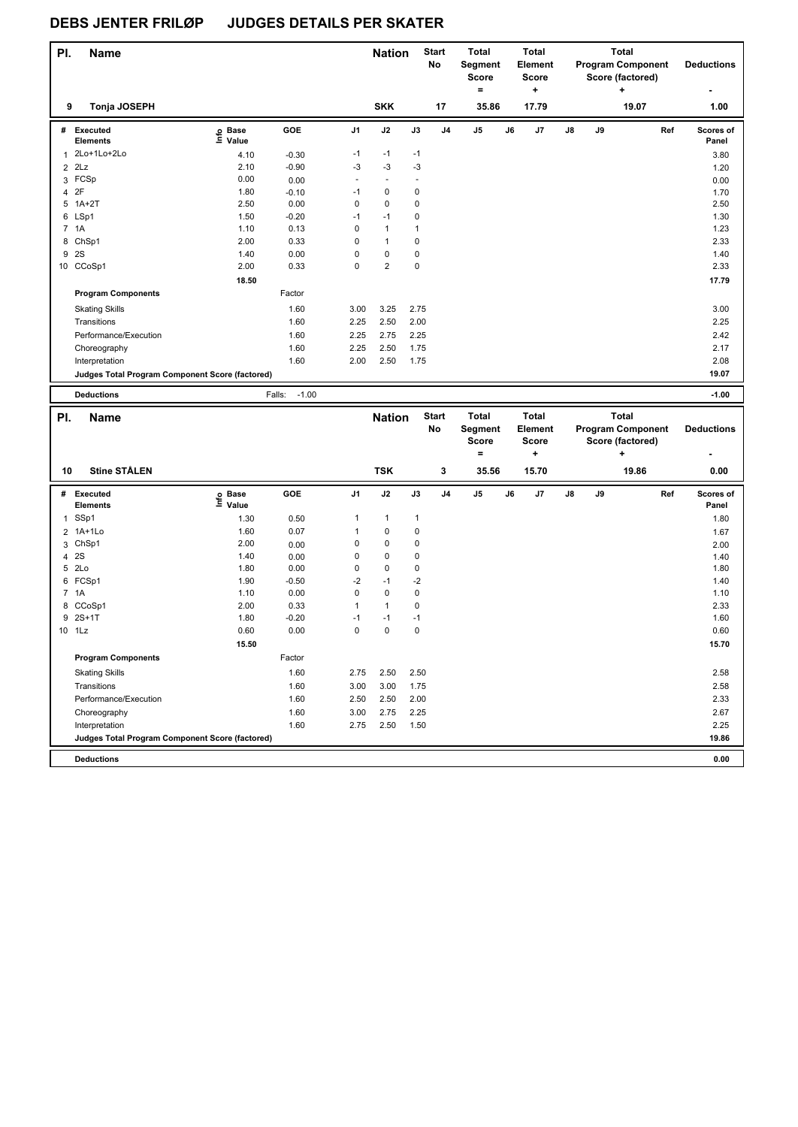| PI.            | <b>Name</b>                                     |                   |                   |                | <b>Nation</b>  |             | <b>Start</b><br>No | Total<br>Segment<br><b>Score</b><br>۰ |    | <b>Total</b><br><b>Element</b><br><b>Score</b><br>٠ |    |    | <b>Total</b><br><b>Program Component</b><br>Score (factored)<br>٠ | <b>Deductions</b>  |
|----------------|-------------------------------------------------|-------------------|-------------------|----------------|----------------|-------------|--------------------|---------------------------------------|----|-----------------------------------------------------|----|----|-------------------------------------------------------------------|--------------------|
| 9              | Tonja JOSEPH                                    |                   |                   |                | <b>SKK</b>     |             | 17                 | 35.86                                 |    | 17.79                                               |    |    | 19.07                                                             | 1.00               |
| #              | Executed<br><b>Elements</b>                     | e Base<br>⊑ Value | GOE               | J <sub>1</sub> | J2             | J3          | J <sub>4</sub>     | J <sub>5</sub>                        | J6 | J7                                                  | J8 | J9 | Ref                                                               | Scores of<br>Panel |
| $\overline{1}$ | 2Lo+1Lo+2Lo                                     | 4.10              | $-0.30$           | $-1$           | $-1$           | $-1$        |                    |                                       |    |                                                     |    |    |                                                                   | 3.80               |
| $\overline{2}$ | 2Lz                                             | 2.10              | $-0.90$           | -3             | $-3$           | $-3$        |                    |                                       |    |                                                     |    |    |                                                                   | 1.20               |
|                | 3 FCSp                                          | 0.00              | 0.00              | ٠              | $\blacksquare$ |             |                    |                                       |    |                                                     |    |    |                                                                   | 0.00               |
| 4              | 2F                                              | 1.80              | $-0.10$           | -1             | $\mathbf 0$    | 0           |                    |                                       |    |                                                     |    |    |                                                                   | 1.70               |
| 5              | $1A+2T$                                         | 2.50              | 0.00              | 0              | $\mathbf 0$    | 0           |                    |                                       |    |                                                     |    |    |                                                                   | 2.50               |
|                | 6 LSp1                                          | 1.50              | $-0.20$           | $-1$           | $-1$           | 0           |                    |                                       |    |                                                     |    |    |                                                                   | 1.30               |
|                | 7 1A                                            | 1.10              | 0.13              | 0              | $\mathbf{1}$   | 1           |                    |                                       |    |                                                     |    |    |                                                                   | 1.23               |
| 8              | ChSp1                                           | 2.00              | 0.33              | 0              | $\mathbf{1}$   | 0           |                    |                                       |    |                                                     |    |    |                                                                   | 2.33               |
| 9              | 2S                                              | 1.40              | 0.00              | 0              | $\mathbf 0$    | 0           |                    |                                       |    |                                                     |    |    |                                                                   | 1.40               |
|                | 10 CCoSp1                                       | 2.00              | 0.33              | $\mathbf 0$    | $\overline{2}$ | $\mathbf 0$ |                    |                                       |    |                                                     |    |    |                                                                   | 2.33               |
|                |                                                 | 18.50             |                   |                |                |             |                    |                                       |    |                                                     |    |    |                                                                   | 17.79              |
|                | <b>Program Components</b>                       |                   | Factor            |                |                |             |                    |                                       |    |                                                     |    |    |                                                                   |                    |
|                | <b>Skating Skills</b>                           |                   | 1.60              | 3.00           | 3.25           | 2.75        |                    |                                       |    |                                                     |    |    |                                                                   | 3.00               |
|                | Transitions                                     |                   | 1.60              | 2.25           | 2.50           | 2.00        |                    |                                       |    |                                                     |    |    |                                                                   | 2.25               |
|                | Performance/Execution                           |                   | 1.60              | 2.25           | 2.75           | 2.25        |                    |                                       |    |                                                     |    |    |                                                                   | 2.42               |
|                | Choreography                                    |                   | 1.60              | 2.25           | 2.50           | 1.75        |                    |                                       |    |                                                     |    |    |                                                                   | 2.17               |
|                | Interpretation                                  |                   | 1.60              | 2.00           | 2.50           | 1.75        |                    |                                       |    |                                                     |    |    |                                                                   | 2.08               |
|                | Judges Total Program Component Score (factored) |                   |                   |                |                |             |                    |                                       |    |                                                     |    |    |                                                                   | 19.07              |
|                | <b>Deductions</b>                               |                   | $-1.00$<br>Falls: |                |                |             |                    |                                       |    |                                                     |    |    |                                                                   | $-1.00$            |

| PI.            | <b>Name</b>                                     |                            |         |                | <b>Nation</b> |              | <b>Start</b><br><b>No</b> | <b>Total</b><br><b>Segment</b><br><b>Score</b><br>٠ |    | <b>Total</b><br>Element<br><b>Score</b><br>÷ |    |    | <b>Total</b><br><b>Program Component</b><br>Score (factored)<br>÷ |     | <b>Deductions</b>  |
|----------------|-------------------------------------------------|----------------------------|---------|----------------|---------------|--------------|---------------------------|-----------------------------------------------------|----|----------------------------------------------|----|----|-------------------------------------------------------------------|-----|--------------------|
| 10             | <b>Stine STÅLEN</b>                             |                            |         |                | <b>TSK</b>    |              | 3                         | 35.56                                               |    | 15.70                                        |    |    | 19.86                                                             |     | 0.00               |
| #              | Executed<br><b>Elements</b>                     | <b>Base</b><br>۴۵<br>Value | GOE     | J <sub>1</sub> | J2            | J3           | J <sub>4</sub>            | J <sub>5</sub>                                      | J6 | J7                                           | J8 | J9 |                                                                   | Ref | Scores of<br>Panel |
| 1              | SSp1                                            | 1.30                       | 0.50    | 1              | $\mathbf{1}$  | $\mathbf{1}$ |                           |                                                     |    |                                              |    |    |                                                                   |     | 1.80               |
| $\overline{2}$ | 1A+1Lo                                          | 1.60                       | 0.07    | 1              | 0             | $\mathbf 0$  |                           |                                                     |    |                                              |    |    |                                                                   |     | 1.67               |
| 3              | ChSp1                                           | 2.00                       | 0.00    | 0              | $\mathbf 0$   | 0            |                           |                                                     |    |                                              |    |    |                                                                   |     | 2.00               |
| 4              | 2S                                              | 1.40                       | 0.00    | 0              | 0             | 0            |                           |                                                     |    |                                              |    |    |                                                                   |     | 1.40               |
| 5              | 2Lo                                             | 1.80                       | 0.00    | 0              | 0             | 0            |                           |                                                     |    |                                              |    |    |                                                                   |     | 1.80               |
| 6              | FCSp1                                           | 1.90                       | $-0.50$ | $-2$           | $-1$          | $-2$         |                           |                                                     |    |                                              |    |    |                                                                   |     | 1.40               |
|                | 7 1A                                            | 1.10                       | 0.00    | 0              | $\mathbf 0$   | $\mathbf 0$  |                           |                                                     |    |                                              |    |    |                                                                   |     | 1.10               |
|                | 8 CCoSp1                                        | 2.00                       | 0.33    | 1              | $\mathbf{1}$  | 0            |                           |                                                     |    |                                              |    |    |                                                                   |     | 2.33               |
| 9              | $2S+1T$                                         | 1.80                       | $-0.20$ | $-1$           | $-1$          | $-1$         |                           |                                                     |    |                                              |    |    |                                                                   |     | 1.60               |
|                | 10 1Lz                                          | 0.60                       | 0.00    | 0              | $\mathbf 0$   | $\mathbf 0$  |                           |                                                     |    |                                              |    |    |                                                                   |     | 0.60               |
|                |                                                 | 15.50                      |         |                |               |              |                           |                                                     |    |                                              |    |    |                                                                   |     | 15.70              |
|                | <b>Program Components</b>                       |                            | Factor  |                |               |              |                           |                                                     |    |                                              |    |    |                                                                   |     |                    |
|                | <b>Skating Skills</b>                           |                            | 1.60    | 2.75           | 2.50          | 2.50         |                           |                                                     |    |                                              |    |    |                                                                   |     | 2.58               |
|                | Transitions                                     |                            | 1.60    | 3.00           | 3.00          | 1.75         |                           |                                                     |    |                                              |    |    |                                                                   |     | 2.58               |
|                | Performance/Execution                           |                            | 1.60    | 2.50           | 2.50          | 2.00         |                           |                                                     |    |                                              |    |    |                                                                   |     | 2.33               |
|                | Choreography                                    |                            | 1.60    | 3.00           | 2.75          | 2.25         |                           |                                                     |    |                                              |    |    |                                                                   |     | 2.67               |
|                | Interpretation                                  |                            | 1.60    | 2.75           | 2.50          | 1.50         |                           |                                                     |    |                                              |    |    |                                                                   |     | 2.25               |
|                | Judges Total Program Component Score (factored) |                            |         |                |               |              |                           |                                                     |    |                                              |    |    |                                                                   |     | 19.86              |
|                | <b>Deductions</b>                               |                            |         |                |               |              |                           |                                                     |    |                                              |    |    |                                                                   |     | 0.00               |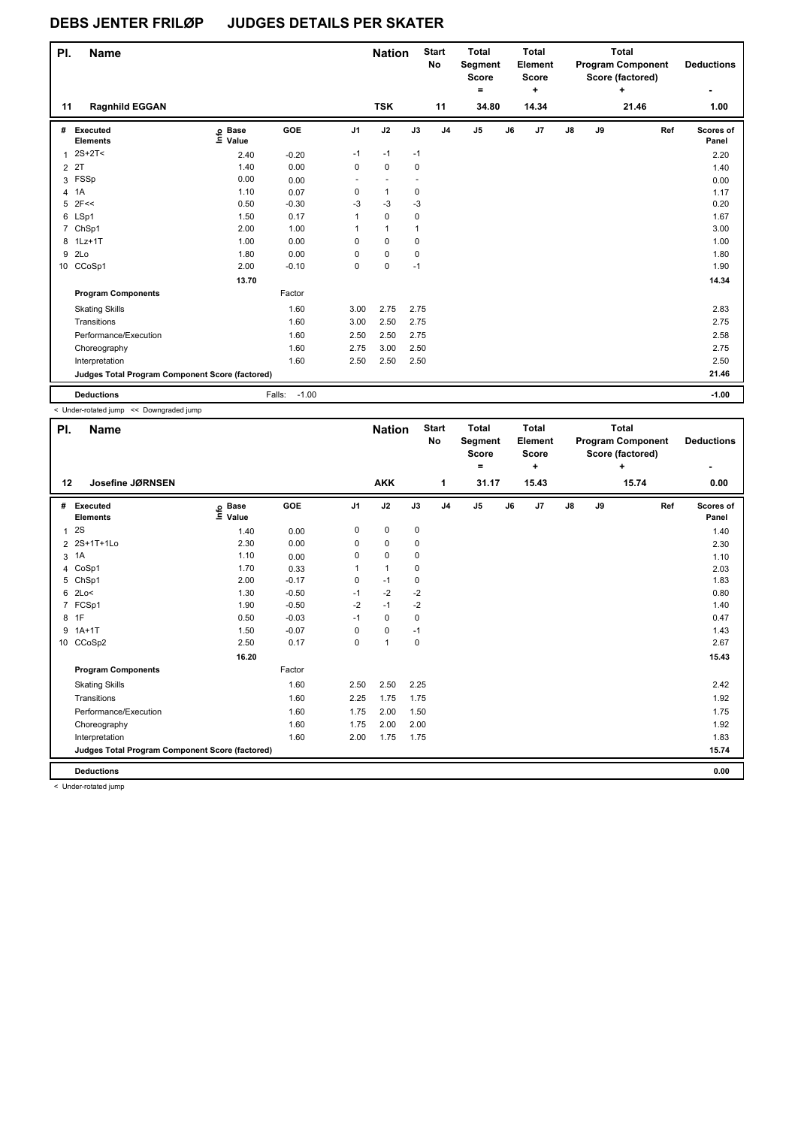| PI. | <b>Name</b>                                     |                   |                   |                | <b>Nation</b> |              | <b>Start</b><br>No | <b>Total</b><br>Segment<br><b>Score</b><br>۰ |    | Total<br>Element<br><b>Score</b><br>٠ |               |    | Total<br><b>Program Component</b><br>Score (factored)<br>٠ |     | <b>Deductions</b><br>۰ |
|-----|-------------------------------------------------|-------------------|-------------------|----------------|---------------|--------------|--------------------|----------------------------------------------|----|---------------------------------------|---------------|----|------------------------------------------------------------|-----|------------------------|
| 11  | <b>Ragnhild EGGAN</b>                           |                   |                   |                | <b>TSK</b>    |              | 11                 | 34.80                                        |    | 14.34                                 |               |    | 21.46                                                      |     | 1.00                   |
| #   | Executed<br><b>Elements</b>                     | e Base<br>⊑ Value | GOE               | J <sub>1</sub> | J2            | J3           | J <sub>4</sub>     | J <sub>5</sub>                               | J6 | J7                                    | $\mathsf{J}8$ | J9 |                                                            | Ref | Scores of<br>Panel     |
|     | $1.2S+2T2$                                      | 2.40              | $-0.20$           | $-1$           | $-1$          | $-1$         |                    |                                              |    |                                       |               |    |                                                            |     | 2.20                   |
|     | 2 2T                                            | 1.40              | 0.00              | 0              | $\mathbf 0$   | 0            |                    |                                              |    |                                       |               |    |                                                            |     | 1.40                   |
| 3   | FSSp                                            | 0.00              | 0.00              |                |               |              |                    |                                              |    |                                       |               |    |                                                            |     | 0.00                   |
| 4   | 1A                                              | 1.10              | 0.07              | 0              | $\mathbf{1}$  | 0            |                    |                                              |    |                                       |               |    |                                                            |     | 1.17                   |
| 5   | 2F<<                                            | 0.50              | $-0.30$           | $-3$           | $-3$          | $-3$         |                    |                                              |    |                                       |               |    |                                                            |     | 0.20                   |
|     | 6 LSp1                                          | 1.50              | 0.17              | 1              | $\mathbf 0$   | 0            |                    |                                              |    |                                       |               |    |                                                            |     | 1.67                   |
|     | 7 ChSp1                                         | 2.00              | 1.00              | 1              | $\mathbf{1}$  | $\mathbf{1}$ |                    |                                              |    |                                       |               |    |                                                            |     | 3.00                   |
|     | 8 1Lz+1T                                        | 1.00              | 0.00              | $\Omega$       | $\mathbf 0$   | $\mathbf 0$  |                    |                                              |    |                                       |               |    |                                                            |     | 1.00                   |
| 9   | 2Lo                                             | 1.80              | 0.00              | 0              | $\mathbf 0$   | 0            |                    |                                              |    |                                       |               |    |                                                            |     | 1.80                   |
|     | 10 CCoSp1                                       | 2.00              | $-0.10$           | 0              | 0             | $-1$         |                    |                                              |    |                                       |               |    |                                                            |     | 1.90                   |
|     |                                                 | 13.70             |                   |                |               |              |                    |                                              |    |                                       |               |    |                                                            |     | 14.34                  |
|     | <b>Program Components</b>                       |                   | Factor            |                |               |              |                    |                                              |    |                                       |               |    |                                                            |     |                        |
|     | <b>Skating Skills</b>                           |                   | 1.60              | 3.00           | 2.75          | 2.75         |                    |                                              |    |                                       |               |    |                                                            |     | 2.83                   |
|     | Transitions                                     |                   | 1.60              | 3.00           | 2.50          | 2.75         |                    |                                              |    |                                       |               |    |                                                            |     | 2.75                   |
|     | Performance/Execution                           |                   | 1.60              | 2.50           | 2.50          | 2.75         |                    |                                              |    |                                       |               |    |                                                            |     | 2.58                   |
|     | Choreography                                    |                   | 1.60              | 2.75           | 3.00          | 2.50         |                    |                                              |    |                                       |               |    |                                                            |     | 2.75                   |
|     | Interpretation                                  |                   | 1.60              | 2.50           | 2.50          | 2.50         |                    |                                              |    |                                       |               |    |                                                            |     | 2.50                   |
|     | Judges Total Program Component Score (factored) |                   |                   |                |               |              |                    |                                              |    |                                       |               |    |                                                            |     | 21.46                  |
|     | <b>Deductions</b>                               |                   | $-1.00$<br>Falls: |                |               |              |                    |                                              |    |                                       |               |    |                                                            |     | $-1.00$                |

< Under-rotated jump << Downgraded jump

| PI. | <b>Name</b>                                     |                            |         |                | <b>Nation</b>  |      | <b>Start</b><br>No | <b>Total</b><br>Segment<br><b>Score</b><br>٠ |    | <b>Total</b><br>Element<br><b>Score</b><br>٠ |               |    | <b>Total</b><br><b>Program Component</b><br>Score (factored)<br>٠ |     | <b>Deductions</b>  |
|-----|-------------------------------------------------|----------------------------|---------|----------------|----------------|------|--------------------|----------------------------------------------|----|----------------------------------------------|---------------|----|-------------------------------------------------------------------|-----|--------------------|
| 12  | Josefine JØRNSEN                                |                            |         |                | <b>AKK</b>     |      | 1                  | 31.17                                        |    | 15.43                                        |               |    | 15.74                                                             |     | 0.00               |
| #   | Executed<br><b>Elements</b>                     | e Base<br>≡ Value<br>Value | GOE     | J <sub>1</sub> | J2             | J3   | J <sub>4</sub>     | J <sub>5</sub>                               | J6 | J7                                           | $\mathsf{J}8$ | J9 |                                                                   | Ref | Scores of<br>Panel |
| 1   | 2S                                              | 1.40                       | 0.00    | 0              | $\mathbf 0$    | 0    |                    |                                              |    |                                              |               |    |                                                                   |     | 1.40               |
|     | 2 2S+1T+1Lo                                     | 2.30                       | 0.00    | 0              | 0              | 0    |                    |                                              |    |                                              |               |    |                                                                   |     | 2.30               |
| 3   | 1A                                              | 1.10                       | 0.00    | 0              | $\mathbf 0$    | 0    |                    |                                              |    |                                              |               |    |                                                                   |     | 1.10               |
|     | 4 CoSp1                                         | 1.70                       | 0.33    | 1              | $\mathbf{1}$   | 0    |                    |                                              |    |                                              |               |    |                                                                   |     | 2.03               |
|     | 5 ChSp1                                         | 2.00                       | $-0.17$ | 0              | $-1$           | 0    |                    |                                              |    |                                              |               |    |                                                                   |     | 1.83               |
|     | $6$ 2Lo<                                        | 1.30                       | $-0.50$ | $-1$           | $-2$           | $-2$ |                    |                                              |    |                                              |               |    |                                                                   |     | 0.80               |
|     | 7 FCSp1                                         | 1.90                       | $-0.50$ | $-2$           | $-1$           | $-2$ |                    |                                              |    |                                              |               |    |                                                                   |     | 1.40               |
|     | 8 1F                                            | 0.50                       | $-0.03$ | $-1$           | $\mathbf 0$    | 0    |                    |                                              |    |                                              |               |    |                                                                   |     | 0.47               |
|     | $9.1A+1T$                                       | 1.50                       | $-0.07$ | 0              | $\mathbf 0$    | $-1$ |                    |                                              |    |                                              |               |    |                                                                   |     | 1.43               |
|     | 10 CCoSp2                                       | 2.50                       | 0.17    | 0              | $\overline{1}$ | 0    |                    |                                              |    |                                              |               |    |                                                                   |     | 2.67               |
|     |                                                 | 16.20                      |         |                |                |      |                    |                                              |    |                                              |               |    |                                                                   |     | 15.43              |
|     | <b>Program Components</b>                       |                            | Factor  |                |                |      |                    |                                              |    |                                              |               |    |                                                                   |     |                    |
|     | <b>Skating Skills</b>                           |                            | 1.60    | 2.50           | 2.50           | 2.25 |                    |                                              |    |                                              |               |    |                                                                   |     | 2.42               |
|     | Transitions                                     |                            | 1.60    | 2.25           | 1.75           | 1.75 |                    |                                              |    |                                              |               |    |                                                                   |     | 1.92               |
|     | Performance/Execution                           |                            | 1.60    | 1.75           | 2.00           | 1.50 |                    |                                              |    |                                              |               |    |                                                                   |     | 1.75               |
|     | Choreography                                    |                            | 1.60    | 1.75           | 2.00           | 2.00 |                    |                                              |    |                                              |               |    |                                                                   |     | 1.92               |
|     | Interpretation                                  |                            | 1.60    | 2.00           | 1.75           | 1.75 |                    |                                              |    |                                              |               |    |                                                                   |     | 1.83               |
|     | Judges Total Program Component Score (factored) |                            |         |                |                |      |                    |                                              |    |                                              |               |    |                                                                   |     | 15.74              |
|     | <b>Deductions</b>                               |                            |         |                |                |      |                    |                                              |    |                                              |               |    |                                                                   |     | 0.00               |

< Under-rotated jump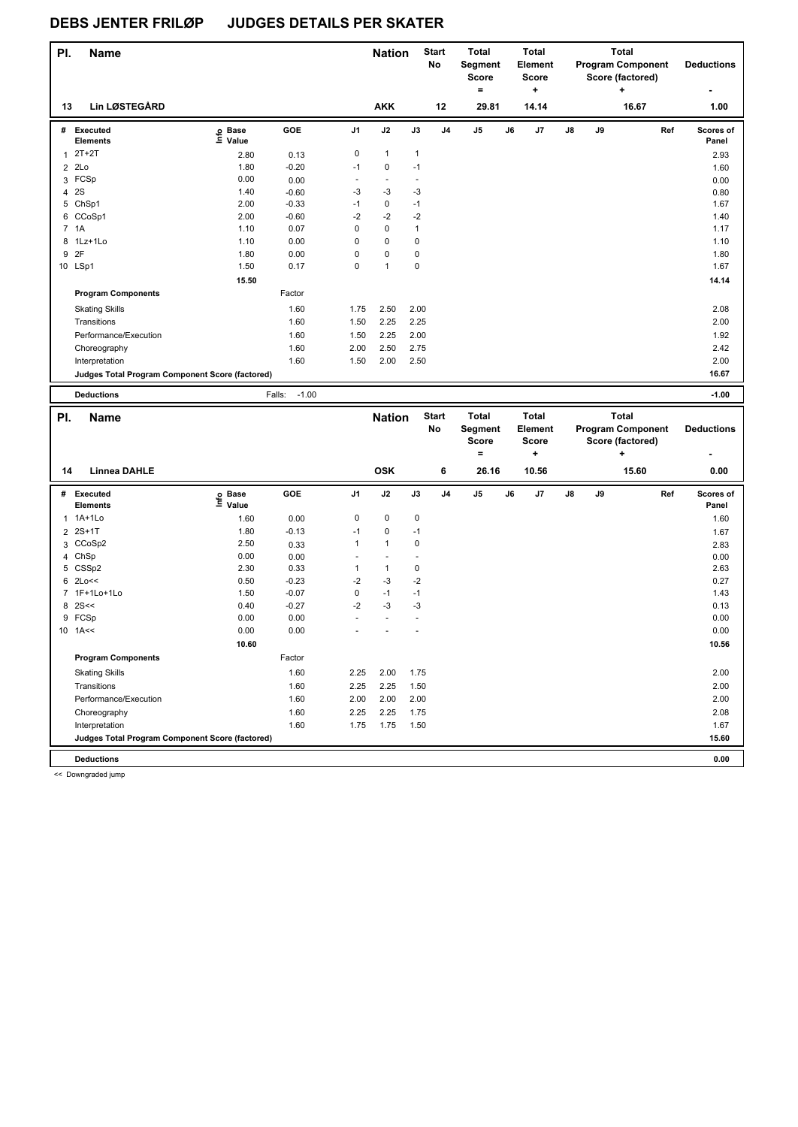| PI.            | Name                                            |                   |                   |                |                | <b>Nation</b>            | <b>Start</b><br>No | <b>Total</b><br><b>Segment</b><br><b>Score</b><br>۰ |    | <b>Total</b><br>Element<br><b>Score</b><br>٠ |               |    | <b>Total</b><br><b>Program Component</b><br>Score (factored)<br>÷ | <b>Deductions</b>  |  |
|----------------|-------------------------------------------------|-------------------|-------------------|----------------|----------------|--------------------------|--------------------|-----------------------------------------------------|----|----------------------------------------------|---------------|----|-------------------------------------------------------------------|--------------------|--|
| 13             | <b>Lin LØSTEGÅRD</b>                            |                   |                   |                | <b>AKK</b>     |                          | 12                 | 29.81                                               |    | 14.14                                        |               |    | 16.67                                                             | 1.00               |  |
| #              | Executed<br><b>Elements</b>                     | e Base<br>⊑ Value | GOE               | J <sub>1</sub> | J2             | J3                       | J <sub>4</sub>     | J <sub>5</sub>                                      | J6 | J <sub>7</sub>                               | $\mathsf{J}8$ | J9 | Ref                                                               | Scores of<br>Panel |  |
| 1              | $2T+2T$                                         | 2.80              | 0.13              | 0              | $\mathbf{1}$   | $\mathbf{1}$             |                    |                                                     |    |                                              |               |    |                                                                   | 2.93               |  |
| $\overline{2}$ | 2Lo                                             | 1.80              | $-0.20$           | $-1$           | $\mathbf 0$    | $-1$                     |                    |                                                     |    |                                              |               |    |                                                                   | 1.60               |  |
| 3              | FCSp                                            | 0.00              | 0.00              | $\sim$         | $\blacksquare$ | $\overline{\phantom{a}}$ |                    |                                                     |    |                                              |               |    |                                                                   | 0.00               |  |
| 4              | 2S                                              | 1.40              | $-0.60$           | -3             | $-3$           | -3                       |                    |                                                     |    |                                              |               |    |                                                                   | 0.80               |  |
| 5              | ChSp1                                           | 2.00              | $-0.33$           | $-1$           | $\mathbf 0$    | $-1$                     |                    |                                                     |    |                                              |               |    |                                                                   | 1.67               |  |
|                | 6 CCoSp1                                        | 2.00              | $-0.60$           | $-2$           | $-2$           | $-2$                     |                    |                                                     |    |                                              |               |    |                                                                   | 1.40               |  |
|                | 7 1A                                            | 1.10              | 0.07              | 0              | $\mathbf 0$    | $\mathbf{1}$             |                    |                                                     |    |                                              |               |    |                                                                   | 1.17               |  |
| 8              | 1Lz+1Lo                                         | 1.10              | 0.00              | 0              | $\mathbf 0$    | 0                        |                    |                                                     |    |                                              |               |    |                                                                   | 1.10               |  |
| 9              | 2F                                              | 1.80              | 0.00              | 0              | $\mathbf 0$    | 0                        |                    |                                                     |    |                                              |               |    |                                                                   | 1.80               |  |
|                | 10 LSp1                                         | 1.50              | 0.17              | $\mathbf 0$    | $\mathbf{1}$   | $\mathbf 0$              |                    |                                                     |    |                                              |               |    |                                                                   | 1.67               |  |
|                |                                                 | 15.50             |                   |                |                |                          |                    |                                                     |    |                                              |               |    |                                                                   | 14.14              |  |
|                | <b>Program Components</b>                       |                   | Factor            |                |                |                          |                    |                                                     |    |                                              |               |    |                                                                   |                    |  |
|                | <b>Skating Skills</b>                           |                   | 1.60              | 1.75           | 2.50           | 2.00                     |                    |                                                     |    |                                              |               |    |                                                                   | 2.08               |  |
|                | Transitions                                     |                   | 1.60              | 1.50           | 2.25           | 2.25                     |                    |                                                     |    |                                              |               |    |                                                                   | 2.00               |  |
|                | Performance/Execution                           |                   | 1.60              | 1.50           | 2.25           | 2.00                     |                    |                                                     |    |                                              |               |    |                                                                   | 1.92               |  |
|                | Choreography                                    |                   | 1.60              | 2.00           | 2.50           | 2.75                     |                    |                                                     |    |                                              |               |    |                                                                   | 2.42               |  |
|                | Interpretation                                  |                   | 1.60              | 1.50           | 2.00           | 2.50                     |                    |                                                     |    |                                              |               |    |                                                                   | 2.00               |  |
|                | Judges Total Program Component Score (factored) |                   |                   |                |                |                          |                    |                                                     |    |                                              |               |    |                                                                   | 16.67              |  |
|                | <b>Deductions</b>                               |                   | $-1.00$<br>Falls: |                |                |                          |                    |                                                     |    |                                              |               |    |                                                                   | $-1.00$            |  |

| PI.            | <b>Name</b>                                     |                              |         |                | <b>Nation</b> |             | <b>Start</b><br>No | <b>Total</b><br>Segment<br><b>Score</b> |    | <b>Total</b><br>Element<br><b>Score</b> |               |    | <b>Total</b><br><b>Program Component</b><br>Score (factored) |     | <b>Deductions</b>  |
|----------------|-------------------------------------------------|------------------------------|---------|----------------|---------------|-------------|--------------------|-----------------------------------------|----|-----------------------------------------|---------------|----|--------------------------------------------------------------|-----|--------------------|
|                |                                                 |                              |         |                |               |             |                    | ٠                                       |    | ٠                                       |               |    | ÷                                                            |     |                    |
| 14             | <b>Linnea DAHLE</b>                             |                              |         |                | <b>OSK</b>    |             | 6                  | 26.16                                   |    | 10.56                                   |               |    | 15.60                                                        |     | 0.00               |
| #              | <b>Executed</b><br><b>Elements</b>              | <b>Base</b><br>١nfo<br>Value | GOE     | J <sub>1</sub> | J2            | J3          | J <sub>4</sub>     | J <sub>5</sub>                          | J6 | J7                                      | $\mathsf{J}8$ | J9 |                                                              | Ref | Scores of<br>Panel |
| 1              | 1A+1Lo                                          | 1.60                         | 0.00    | 0              | $\mathbf 0$   | $\mathbf 0$ |                    |                                         |    |                                         |               |    |                                                              |     | 1.60               |
| 2              | $2S+1T$                                         | 1.80                         | $-0.13$ | $-1$           | 0             | $-1$        |                    |                                         |    |                                         |               |    |                                                              |     | 1.67               |
|                | 3 CCoSp2                                        | 2.50                         | 0.33    | 1              | $\mathbf{1}$  | 0           |                    |                                         |    |                                         |               |    |                                                              |     | 2.83               |
| 4              | ChSp                                            | 0.00                         | 0.00    |                |               |             |                    |                                         |    |                                         |               |    |                                                              |     | 0.00               |
| 5              | CSSp2                                           | 2.30                         | 0.33    | 1              | $\mathbf{1}$  | 0           |                    |                                         |    |                                         |               |    |                                                              |     | 2.63               |
| 6              | 2Lo<<                                           | 0.50                         | $-0.23$ | $-2$           | $-3$          | $-2$        |                    |                                         |    |                                         |               |    |                                                              |     | 0.27               |
| $\overline{7}$ | 1F+1Lo+1Lo                                      | 1.50                         | $-0.07$ | 0              | $-1$          | $-1$        |                    |                                         |    |                                         |               |    |                                                              |     | 1.43               |
| 8              | 2S<<                                            | 0.40                         | $-0.27$ | $-2$           | $-3$          | $-3$        |                    |                                         |    |                                         |               |    |                                                              |     | 0.13               |
|                | 9 FCSp                                          | 0.00                         | 0.00    |                |               |             |                    |                                         |    |                                         |               |    |                                                              |     | 0.00               |
|                | $10$ 1A <<                                      | 0.00                         | 0.00    |                |               |             |                    |                                         |    |                                         |               |    |                                                              |     | 0.00               |
|                |                                                 | 10.60                        |         |                |               |             |                    |                                         |    |                                         |               |    |                                                              |     | 10.56              |
|                | <b>Program Components</b>                       |                              | Factor  |                |               |             |                    |                                         |    |                                         |               |    |                                                              |     |                    |
|                | <b>Skating Skills</b>                           |                              | 1.60    | 2.25           | 2.00          | 1.75        |                    |                                         |    |                                         |               |    |                                                              |     | 2.00               |
|                | Transitions                                     |                              | 1.60    | 2.25           | 2.25          | 1.50        |                    |                                         |    |                                         |               |    |                                                              |     | 2.00               |
|                | Performance/Execution                           |                              | 1.60    | 2.00           | 2.00          | 2.00        |                    |                                         |    |                                         |               |    |                                                              |     | 2.00               |
|                | Choreography                                    |                              | 1.60    | 2.25           | 2.25          | 1.75        |                    |                                         |    |                                         |               |    |                                                              |     | 2.08               |
|                | Interpretation                                  |                              | 1.60    | 1.75           | 1.75          | 1.50        |                    |                                         |    |                                         |               |    |                                                              |     | 1.67               |
|                | Judges Total Program Component Score (factored) |                              |         |                |               |             |                    |                                         |    |                                         |               |    |                                                              |     | 15.60              |
|                | <b>Deductions</b>                               |                              |         |                |               |             |                    |                                         |    |                                         |               |    |                                                              |     | 0.00               |
|                |                                                 |                              |         |                |               |             |                    |                                         |    |                                         |               |    |                                                              |     |                    |

<< Downgraded jump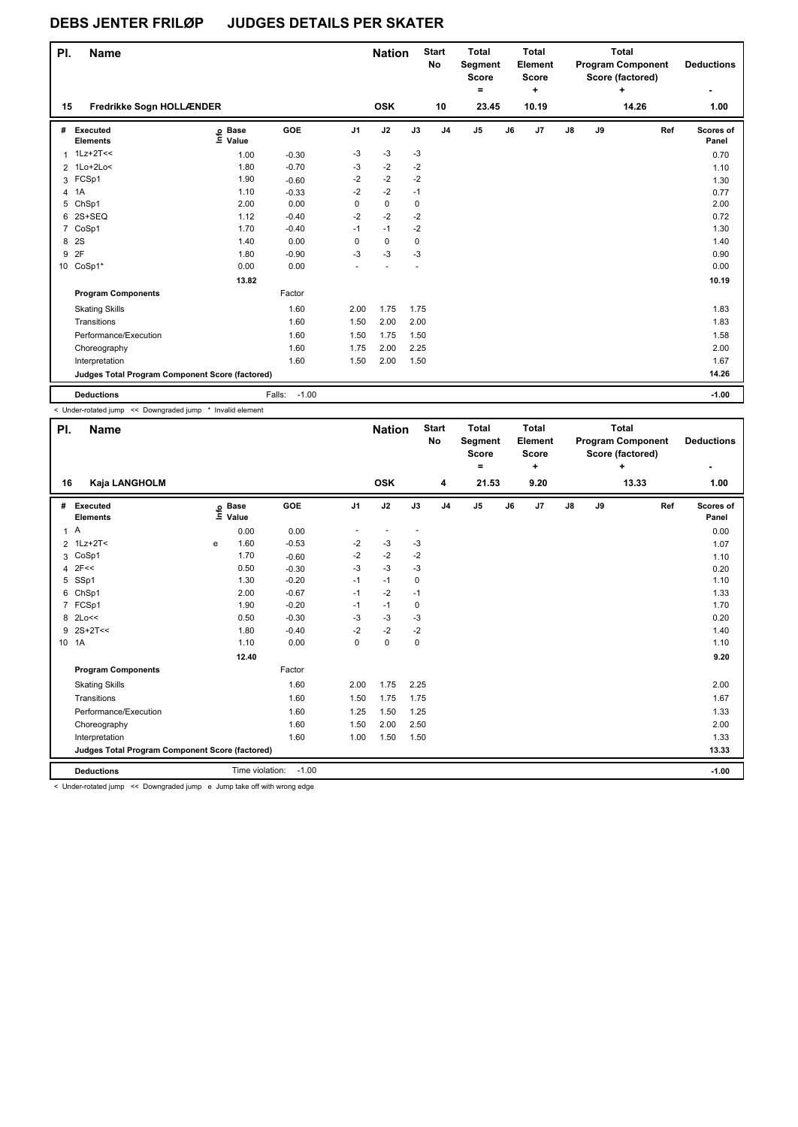| PI. | <b>Name</b>                                     |                   |                   |                | <b>Nation</b> |      | <b>Start</b><br>No | <b>Total</b><br>Segment<br><b>Score</b><br>۰ |    | <b>Total</b><br>Element<br><b>Score</b><br>٠ |    |    | <b>Total</b><br><b>Program Component</b><br>Score (factored)<br>٠ | <b>Deductions</b><br>۰ |
|-----|-------------------------------------------------|-------------------|-------------------|----------------|---------------|------|--------------------|----------------------------------------------|----|----------------------------------------------|----|----|-------------------------------------------------------------------|------------------------|
| 15  | Fredrikke Sogn HOLLÆNDER                        |                   |                   |                | <b>OSK</b>    |      | 10                 | 23.45                                        |    | 10.19                                        |    |    | 14.26                                                             | 1.00                   |
| #   | Executed<br><b>Elements</b>                     | e Base<br>⊆ Value | GOE               | J <sub>1</sub> | J2            | J3   | J <sub>4</sub>     | J <sub>5</sub>                               | J6 | J7                                           | J8 | J9 | Ref                                                               | Scores of<br>Panel     |
|     | $1$ 1Lz+2T<<                                    | 1.00              | $-0.30$           | $-3$           | $-3$          | $-3$ |                    |                                              |    |                                              |    |    |                                                                   | 0.70                   |
|     | 2 1Lo+2Lo<                                      | 1.80              | $-0.70$           | -3             | $-2$          | $-2$ |                    |                                              |    |                                              |    |    |                                                                   | 1.10                   |
|     | 3 FCSp1                                         | 1.90              | $-0.60$           | $-2$           | $-2$          | $-2$ |                    |                                              |    |                                              |    |    |                                                                   | 1.30                   |
| 4   | 1A                                              | 1.10              | $-0.33$           | $-2$           | $-2$          | $-1$ |                    |                                              |    |                                              |    |    |                                                                   | 0.77                   |
| 5   | ChSp1                                           | 2.00              | 0.00              | 0              | $\pmb{0}$     | 0    |                    |                                              |    |                                              |    |    |                                                                   | 2.00                   |
| 6   | 2S+SEQ                                          | 1.12              | $-0.40$           | $-2$           | $-2$          | $-2$ |                    |                                              |    |                                              |    |    |                                                                   | 0.72                   |
|     | 7 CoSp1                                         | 1.70              | $-0.40$           | $-1$           | $-1$          | $-2$ |                    |                                              |    |                                              |    |    |                                                                   | 1.30                   |
| 8   | 2S                                              | 1.40              | 0.00              | 0              | $\pmb{0}$     | 0    |                    |                                              |    |                                              |    |    |                                                                   | 1.40                   |
| 9   | 2F                                              | 1.80              | $-0.90$           | $-3$           | $-3$          | $-3$ |                    |                                              |    |                                              |    |    |                                                                   | 0.90                   |
|     | 10 CoSp1*                                       | 0.00              | 0.00              |                |               |      |                    |                                              |    |                                              |    |    |                                                                   | 0.00                   |
|     |                                                 | 13.82             |                   |                |               |      |                    |                                              |    |                                              |    |    |                                                                   | 10.19                  |
|     | <b>Program Components</b>                       |                   | Factor            |                |               |      |                    |                                              |    |                                              |    |    |                                                                   |                        |
|     | <b>Skating Skills</b>                           |                   | 1.60              | 2.00           | 1.75          | 1.75 |                    |                                              |    |                                              |    |    |                                                                   | 1.83                   |
|     | Transitions                                     |                   | 1.60              | 1.50           | 2.00          | 2.00 |                    |                                              |    |                                              |    |    |                                                                   | 1.83                   |
|     | Performance/Execution                           |                   | 1.60              | 1.50           | 1.75          | 1.50 |                    |                                              |    |                                              |    |    |                                                                   | 1.58                   |
|     | Choreography                                    |                   | 1.60              | 1.75           | 2.00          | 2.25 |                    |                                              |    |                                              |    |    |                                                                   | 2.00                   |
|     | Interpretation                                  |                   | 1.60              | 1.50           | 2.00          | 1.50 |                    |                                              |    |                                              |    |    |                                                                   | 1.67                   |
|     | Judges Total Program Component Score (factored) |                   |                   |                |               |      |                    |                                              |    |                                              |    |    |                                                                   | 14.26                  |
|     | <b>Deductions</b>                               |                   | Falls:<br>$-1.00$ |                |               |      |                    |                                              |    |                                              |    |    |                                                                   | $-1.00$                |

< Under-rotated jump << Downgraded jump \* Invalid element

| PI.   | <b>Name</b>                                     |   |                            |         |                | <b>Nation</b>            |                          | <b>Start</b><br>No | <b>Total</b><br>Segment<br>Score<br>= |    | <b>Total</b><br>Element<br><b>Score</b><br>٠ |               | <b>Total</b><br><b>Program Component</b><br>Score (factored)<br>÷ |       |     | <b>Deductions</b>  |
|-------|-------------------------------------------------|---|----------------------------|---------|----------------|--------------------------|--------------------------|--------------------|---------------------------------------|----|----------------------------------------------|---------------|-------------------------------------------------------------------|-------|-----|--------------------|
| 16    | Kaja LANGHOLM                                   |   |                            |         |                | <b>OSK</b>               |                          | 4                  | 21.53                                 |    | 9.20                                         |               |                                                                   | 13.33 |     | 1.00               |
| #     | Executed<br><b>Elements</b>                     |   | e Base<br>≡ Value<br>Value | GOE     | J <sub>1</sub> | J2                       | J3                       | J <sub>4</sub>     | J5                                    | J6 | J7                                           | $\mathsf{J}8$ | J9                                                                |       | Ref | Scores of<br>Panel |
| 1A    |                                                 |   | 0.00                       | 0.00    |                | $\overline{\phantom{a}}$ | $\overline{\phantom{a}}$ |                    |                                       |    |                                              |               |                                                                   |       |     | 0.00               |
|       | 2 1Lz+2T<                                       | е | 1.60                       | $-0.53$ | $-2$           | $-3$                     | -3                       |                    |                                       |    |                                              |               |                                                                   |       |     | 1.07               |
|       | 3 CoSp1                                         |   | 1.70                       | $-0.60$ | $-2$           | $-2$                     | $-2$                     |                    |                                       |    |                                              |               |                                                                   |       |     | 1.10               |
|       | $4$ 2F<<                                        |   | 0.50                       | $-0.30$ | $-3$           | $-3$                     | -3                       |                    |                                       |    |                                              |               |                                                                   |       |     | 0.20               |
|       | 5 SSp1                                          |   | 1.30                       | $-0.20$ | $-1$           | $-1$                     | 0                        |                    |                                       |    |                                              |               |                                                                   |       |     | 1.10               |
|       | 6 ChSp1                                         |   | 2.00                       | $-0.67$ | $-1$           | $-2$                     | $-1$                     |                    |                                       |    |                                              |               |                                                                   |       |     | 1.33               |
|       | 7 FCSp1                                         |   | 1.90                       | $-0.20$ | $-1$           | $-1$                     | 0                        |                    |                                       |    |                                              |               |                                                                   |       |     | 1.70               |
|       | 8 2Lo<<                                         |   | 0.50                       | $-0.30$ | $-3$           | $-3$                     | $-3$                     |                    |                                       |    |                                              |               |                                                                   |       |     | 0.20               |
|       | 9 2S+2T<<                                       |   | 1.80                       | $-0.40$ | $-2$           | $-2$                     | $-2$                     |                    |                                       |    |                                              |               |                                                                   |       |     | 1.40               |
| 10 1A |                                                 |   | 1.10                       | 0.00    | 0              | $\mathbf 0$              | 0                        |                    |                                       |    |                                              |               |                                                                   |       |     | 1.10               |
|       |                                                 |   | 12.40                      |         |                |                          |                          |                    |                                       |    |                                              |               |                                                                   |       |     | 9.20               |
|       | <b>Program Components</b>                       |   |                            | Factor  |                |                          |                          |                    |                                       |    |                                              |               |                                                                   |       |     |                    |
|       | <b>Skating Skills</b>                           |   |                            | 1.60    | 2.00           | 1.75                     | 2.25                     |                    |                                       |    |                                              |               |                                                                   |       |     | 2.00               |
|       | Transitions                                     |   |                            | 1.60    | 1.50           | 1.75                     | 1.75                     |                    |                                       |    |                                              |               |                                                                   |       |     | 1.67               |
|       | Performance/Execution                           |   |                            | 1.60    | 1.25           | 1.50                     | 1.25                     |                    |                                       |    |                                              |               |                                                                   |       |     | 1.33               |
|       | Choreography                                    |   |                            | 1.60    | 1.50           | 2.00                     | 2.50                     |                    |                                       |    |                                              |               |                                                                   |       |     | 2.00               |
|       | Interpretation                                  |   |                            | 1.60    | 1.00           | 1.50                     | 1.50                     |                    |                                       |    |                                              |               |                                                                   |       |     | 1.33               |
|       | Judges Total Program Component Score (factored) |   |                            |         |                |                          |                          |                    |                                       |    |                                              |               |                                                                   |       |     | 13.33              |
|       | <b>Deductions</b>                               |   | Time violation:            | $-1.00$ |                |                          |                          |                    |                                       |    |                                              |               |                                                                   |       |     | $-1.00$            |

< Under-rotated jump << Downgraded jump e Jump take off with wrong edge